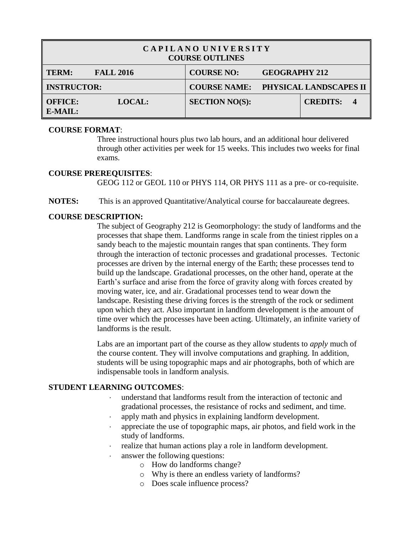| CAPILANO UNIVERSITY<br><b>COURSE OUTLINES</b>                |                       |                                            |  |  |  |
|--------------------------------------------------------------|-----------------------|--------------------------------------------|--|--|--|
| <b>TERM:</b><br><b>FALL 2016</b>                             | <b>COURSE NO:</b>     | <b>GEOGRAPHY 212</b>                       |  |  |  |
| <b>INSTRUCTOR:</b>                                           |                       | <b>COURSE NAME: PHYSICAL LANDSCAPES II</b> |  |  |  |
| <b>OFFICE:</b><br><b>LOCAL:</b><br>$E\text{-}{M}\text{AIL}:$ | <b>SECTION NO(S):</b> | <b>CREDITS:</b>                            |  |  |  |

### **COURSE FORMAT**:

Three instructional hours plus two lab hours, and an additional hour delivered through other activities per week for 15 weeks. This includes two weeks for final exams.

#### **COURSE PREREQUISITES**:

GEOG 112 or GEOL 110 or PHYS 114, OR PHYS 111 as a pre- or co-requisite.

**NOTES:** This is an approved Quantitative/Analytical course for baccalaureate degrees.

# **COURSE DESCRIPTION:**

The subject of Geography 212 is Geomorphology: the study of landforms and the processes that shape them. Landforms range in scale from the tiniest ripples on a sandy beach to the majestic mountain ranges that span continents. They form through the interaction of tectonic processes and gradational processes. Tectonic processes are driven by the internal energy of the Earth; these processes tend to build up the landscape. Gradational processes, on the other hand, operate at the Earth's surface and arise from the force of gravity along with forces created by moving water, ice, and air. Gradational processes tend to wear down the landscape. Resisting these driving forces is the strength of the rock or sediment upon which they act. Also important in landform development is the amount of time over which the processes have been acting. Ultimately, an infinite variety of landforms is the result.

Labs are an important part of the course as they allow students to *apply* much of the course content. They will involve computations and graphing. In addition, students will be using topographic maps and air photographs, both of which are indispensable tools in landform analysis.

# **STUDENT LEARNING OUTCOMES**:

- understand that landforms result from the interaction of tectonic and gradational processes, the resistance of rocks and sediment, and time.
- apply math and physics in explaining landform development.
- appreciate the use of topographic maps, air photos, and field work in the study of landforms.
- realize that human actions play a role in landform development.
- answer the following questions:
	- o How do landforms change?
	- o Why is there an endless variety of landforms?
	- o Does scale influence process?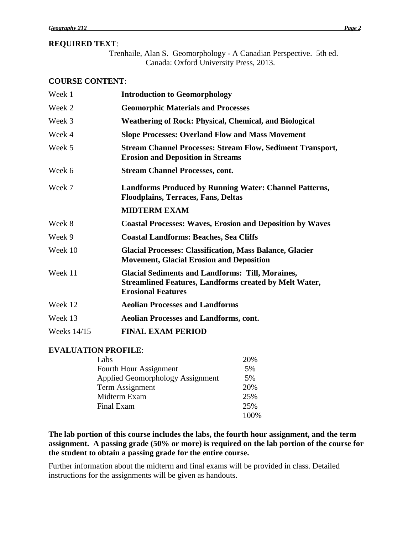## **REQUIRED TEXT**:

Trenhaile, Alan S. Geomorphology - A Canadian Perspective. 5th ed. Canada: Oxford University Press, 2013.

#### **COURSE CONTENT**:

| Week 1      | <b>Introduction to Geomorphology</b>                                                                                                                  |
|-------------|-------------------------------------------------------------------------------------------------------------------------------------------------------|
| Week 2      | <b>Geomorphic Materials and Processes</b>                                                                                                             |
| Week 3      | <b>Weathering of Rock: Physical, Chemical, and Biological</b>                                                                                         |
| Week 4      | <b>Slope Processes: Overland Flow and Mass Movement</b>                                                                                               |
| Week 5      | <b>Stream Channel Processes: Stream Flow, Sediment Transport,</b><br><b>Erosion and Deposition in Streams</b>                                         |
| Week 6      | <b>Stream Channel Processes, cont.</b>                                                                                                                |
| Week 7      | <b>Landforms Produced by Running Water: Channel Patterns,</b><br><b>Floodplains, Terraces, Fans, Deltas</b>                                           |
|             | <b>MIDTERM EXAM</b>                                                                                                                                   |
| Week 8      | <b>Coastal Processes: Waves, Erosion and Deposition by Waves</b>                                                                                      |
| Week 9      | <b>Coastal Landforms: Beaches, Sea Cliffs</b>                                                                                                         |
| Week 10     | <b>Glacial Processes: Classification, Mass Balance, Glacier</b><br><b>Movement, Glacial Erosion and Deposition</b>                                    |
| Week 11     | <b>Glacial Sediments and Landforms: Till, Moraines,</b><br><b>Streamlined Features, Landforms created by Melt Water,</b><br><b>Erosional Features</b> |
| Week 12     | <b>Aeolian Processes and Landforms</b>                                                                                                                |
| Week 13     | <b>Aeolian Processes and Landforms, cont.</b>                                                                                                         |
| Weeks 14/15 | <b>FINAL EXAM PERIOD</b>                                                                                                                              |

## **EVALUATION PROFILE**:

| Labs                                    | 20% |
|-----------------------------------------|-----|
| Fourth Hour Assignment                  | 5%  |
| <b>Applied Geomorphology Assignment</b> | 5%  |
| Term Assignment                         | 20% |
| Midterm Exam                            | 25% |
| Final Exam                              | 25% |
|                                         |     |

**The lab portion of this course includes the labs, the fourth hour assignment, and the term assignment. A passing grade (50% or more) is required on the lab portion of the course for the student to obtain a passing grade for the entire course.**

Further information about the midterm and final exams will be provided in class. Detailed instructions for the assignments will be given as handouts.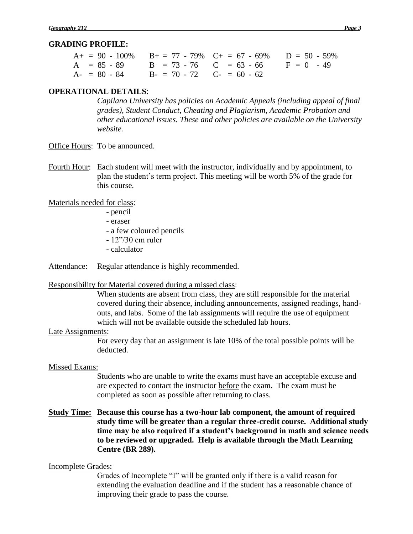## **GRADING PROFILE:**

| $A_1 = 90 - 100\%$ $B_1 = 77 - 79\%$ $C_1 = 67 - 69\%$ $D = 50 - 59\%$ |  |
|------------------------------------------------------------------------|--|
| $A = 85 - 89$ $B = 73 - 76$ $C = 63 - 66$ $F = 0$ $-49$                |  |
| $A - 80 - 84$ $B - 70 - 72$ $C - 60 - 62$                              |  |

### **OPERATIONAL DETAILS**:

*Capilano University has policies on Academic Appeals (including appeal of final grades), Student Conduct, Cheating and Plagiarism, Academic Probation and other educational issues. These and other policies are available on the University website.*

- Office Hours: To be announced.
- Fourth Hour: Each student will meet with the instructor, individually and by appointment, to plan the student's term project. This meeting will be worth 5% of the grade for this course.

Materials needed for class:

- pencil
- eraser
- a few coloured pencils
- 12"/30 cm ruler
- calculator

Attendance: Regular attendance is highly recommended.

#### Responsibility for Material covered during a missed class:

When students are absent from class, they are still responsible for the material covered during their absence, including announcements, assigned readings, handouts, and labs. Some of the lab assignments will require the use of equipment which will not be available outside the scheduled lab hours.

#### Late Assignments:

For every day that an assignment is late 10% of the total possible points will be deducted.

#### Missed Exams:

Students who are unable to write the exams must have an acceptable excuse and are expected to contact the instructor before the exam. The exam must be completed as soon as possible after returning to class.

# **Study Time: Because this course has a two-hour lab component, the amount of required study time will be greater than a regular three-credit course. Additional study time may be also required if a student's background in math and science needs to be reviewed or upgraded. Help is available through the Math Learning Centre (BR 289).**

## Incomplete Grades:

Grades of Incomplete "I" will be granted only if there is a valid reason for extending the evaluation deadline and if the student has a reasonable chance of improving their grade to pass the course.